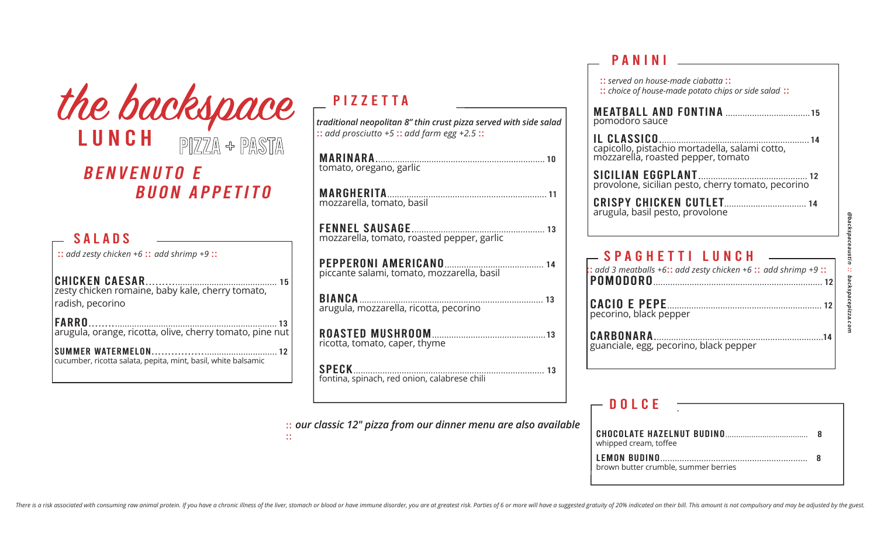|                                                                                           | the backspace        |
|-------------------------------------------------------------------------------------------|----------------------|
| LUNCH                                                                                     | $P1ZZA + PASTA$      |
| <b>BENVENUTO E</b>                                                                        |                      |
|                                                                                           | <b>BUON APPETITO</b> |
| <b>SALADS</b>                                                                             |                      |
| $::$ add zesty chicken +6 $::$ add shrimp +9 $::$<br><b>CHICKEN CAESAR</b>                |                      |
| zesty chicken romaine, baby kale, cherry tomato,<br>radish, pecorino                      |                      |
| <b>FARRO</b><br>arugula, orange, ricotta, olive, cherry tomato, pine nut                  |                      |
| <b>SUMMER WATERMELON</b><br>cucumber, ricotta salata, pepita, mint, basil, white balsamic |                      |

## PIZZETTA

*traditional neopolitan 8" thin crust pizza served with side salad* :: *add prosciutto +5* :: *add farm egg +2.5* ::

| mozzarella, tomato, roasted pepper, garlic   |
|----------------------------------------------|
| piccante salami, tomato, mozzarella, basil   |
|                                              |
| ricotta, tomato, caper, thyme                |
| fontina, spinach, red onion, calabrese chili |

:: *our classic 12" pizza from our dinner menu are also available* 

::

## $\begin{array}{c|c} \hline \textbf{P} \textbf{ANINI} & \textbf{---} \end{array}$

| $::$ add 3 meatballs +6 $::$ add zesty chicken +6 $::$ add shrimp +9 $::$ |
|---------------------------------------------------------------------------|
|                                                                           |
|                                                                           |
|                                                                           |

#### $-$  DOLCE

| CHOCOLATE HAZELNUT BUDINO<br>whipped cream, toffee |  |
|----------------------------------------------------|--|
| brown butter crumble, summer berries               |  |